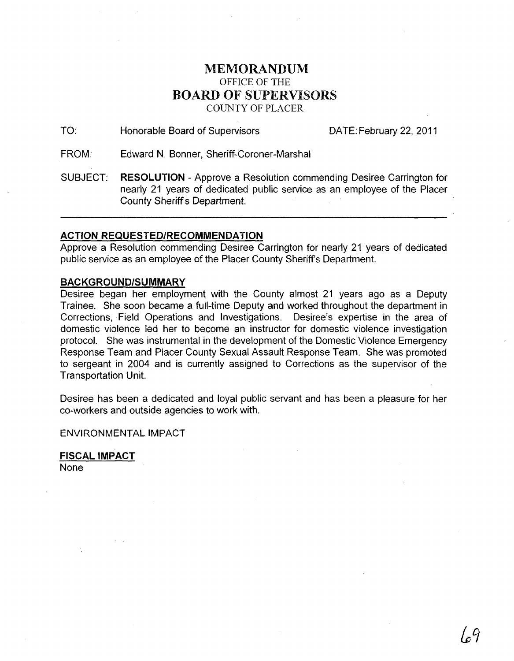## MEMORANDUM OFFICE OF THE **BOARD** OF SUPERVISORS COUNTY OF PLACER

TO: Honorable Board of Supervisors DATE: February 22, 2011

FROM: Edward N. Bonner, Sheriff-Coroner-Marshal

SUBJECT: **RESOLUTION** - Approve a Resolution commending Desiree Carrington for nearly 21 years of dedicated public service as an employee of the Placer County Sheriff's Department.

## **ACTION REQUESTED/RECOMMENDATION**

Approve a Resolution commending Desiree Carrington for nearly 21 years of dedicated public service as an employee of the Placer County Sheriff's Department.

## **BACKGROUND/SUMMARY**

Desiree began her employment with the County almost 21 years ago as a Deputy Trainee. She soon became a full-time Deputy and worked throughout the department in Corrections, Field Operations and Investigations. Desiree's expertise in the area of domestic violence led her to become an instructor for domestic violence investigation protocol. She was instrumental in the development of the Domestic Violence Emergency Response Team and Placer County Sexual Assault Response Team. She was promoted to sergeant in 2004 and is currently assigned to Corrections as the supervisor of the Transportation Unit.

Desiree has been a dedicated and loyal public servant and has been a pleasure for her co-workers and outside agencies to work with.

ENVIRONMENTAL IMPACT

FISCAL IMPACT None